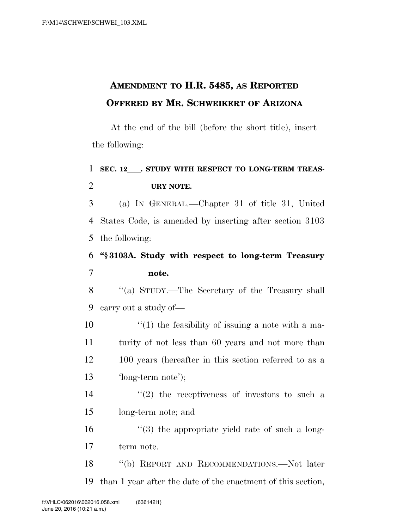## **AMENDMENT TO H.R. 5485, AS REPORTED OFFERED BY MR. SCHWEIKERT OF ARIZONA**

At the end of the bill (before the short title), insert the following:

## 1 SEC. 12 . STUDY WITH RESPECT TO LONG-TERM TREAS-**URY NOTE.**

 (a) IN GENERAL.—Chapter 31 of title 31, United States Code, is amended by inserting after section 3103 the following:

 **''§ 3103A. Study with respect to long-term Treasury note.** 

 ''(a) STUDY.—The Secretary of the Treasury shall carry out a study of—

 $\frac{1}{2}$  (1) the feasibility of issuing a note with a ma- turity of not less than 60 years and not more than 100 years (hereafter in this section referred to as a 'long-term note');

 $\frac{14}{2}$  ''(2) the receptiveness of investors to such a long-term note; and

 ''(3) the appropriate yield rate of such a long-term note.

 ''(b) REPORT AND RECOMMENDATIONS.—Not later than 1 year after the date of the enactment of this section,